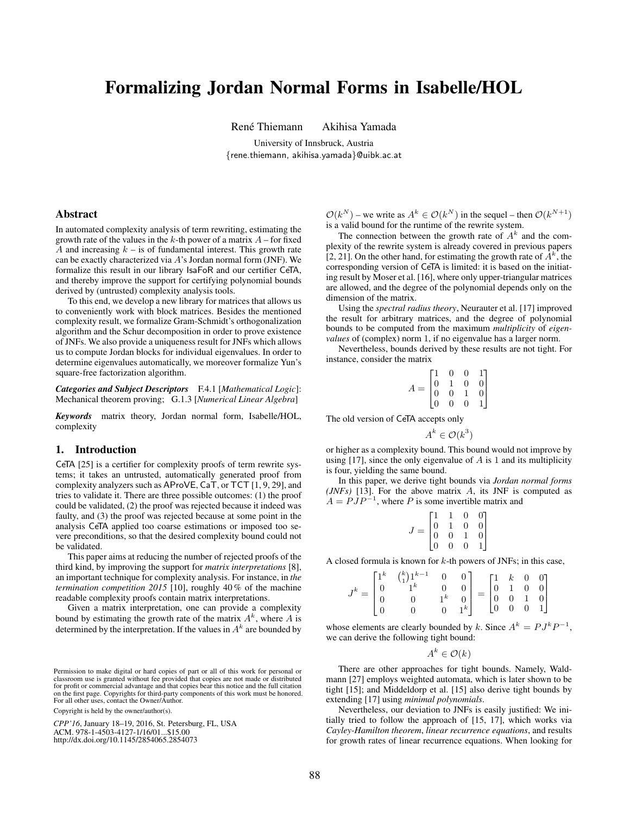# Formalizing Jordan Normal Forms in Isabelle/HOL

René Thiemann Akihisa Yamada

University of Innsbruck, Austria {rene.thiemann, akihisa.yamada}@uibk.ac.at

# Abstract

In automated complexity analysis of term rewriting, estimating the growth rate of the values in the  $k$ -th power of a matrix  $A$  – for fixed A and increasing  $k - i$ s of fundamental interest. This growth rate can be exactly characterized via A's Jordan normal form (JNF). We formalize this result in our library IsaFoR and our certifier CeTA, and thereby improve the support for certifying polynomial bounds derived by (untrusted) complexity analysis tools.

To this end, we develop a new library for matrices that allows us to conveniently work with block matrices. Besides the mentioned complexity result, we formalize Gram-Schmidt's orthogonalization algorithm and the Schur decomposition in order to prove existence of JNFs. We also provide a uniqueness result for JNFs which allows us to compute Jordan blocks for individual eigenvalues. In order to determine eigenvalues automatically, we moreover formalize Yun's square-free factorization algorithm.

*Categories and Subject Descriptors* F.4.1 [*Mathematical Logic*]: Mechanical theorem proving; G.1.3 [*Numerical Linear Algebra*]

*Keywords* matrix theory, Jordan normal form, Isabelle/HOL, complexity

## 1. Introduction

CeTA [25] is a certifier for complexity proofs of term rewrite systems; it takes an untrusted, automatically generated proof from complexity analyzers such as AProVE, CaT, or TCT [1, 9, 29], and tries to validate it. There are three possible outcomes: (1) the proof could be validated, (2) the proof was rejected because it indeed was faulty, and (3) the proof was rejected because at some point in the analysis CeTA applied too coarse estimations or imposed too severe preconditions, so that the desired complexity bound could not be validated.

This paper aims at reducing the number of rejected proofs of the third kind, by improving the support for *matrix interpretations* [8], an important technique for complexity analysis. For instance, in *the termination competition 2015* [10], roughly 40 % of the machine readable complexity proofs contain matrix interpretations.

Given a matrix interpretation, one can provide a complexity bound by estimating the growth rate of the matrix  $A<sup>k</sup>$ , where A is determined by the interpretation. If the values in  $A<sup>k</sup>$  are bounded by

Copyright is held by the owner/author(s).

CPP'16, January 18-19, 2016, St. Petersburg, FL, USA ACM. 978-1-4503-4127-1/16/01...\$15.00<br>http://dx.doi.org/10.1145/2854065.2854073

 $\mathcal{O}(k^N)$  – we write as  $A^k \in \mathcal{O}(k^N)$  in the sequel – then  $\mathcal{O}(k^{N+1})$ is a valid bound for the runtime of the rewrite system.

The connection between the growth rate of  $A<sup>k</sup>$  and the complexity of the rewrite system is already covered in previous papers [2, 21]. On the other hand, for estimating the growth rate of  $A^k$ , the corresponding version of CeTA is limited: it is based on the initiating result by Moser et al. [16], where only upper-triangular matrices are allowed, and the degree of the polynomial depends only on the dimension of the matrix.

Using the *spectral radius theory*, Neurauter et al. [17] improved the result for arbitrary matrices, and the degree of polynomial bounds to be computed from the maximum *multiplicity* of *eigenvalues* of (complex) norm 1, if no eigenvalue has a larger norm.

Nevertheless, bounds derived by these results are not tight. For instance, consider the matrix

|     |                                                       | 0                                     | 0              |                                                  |
|-----|-------------------------------------------------------|---------------------------------------|----------------|--------------------------------------------------|
|     | $\begin{bmatrix} 1 \\ 0 \\ 0 \\ 0 \\ 0 \end{bmatrix}$ | $\begin{matrix} 1\\0\\0 \end{matrix}$ | $\overline{0}$ | $\begin{bmatrix} 1 \\ 0 \\ 0 \\ 1 \end{bmatrix}$ |
| $=$ |                                                       |                                       |                |                                                  |
|     |                                                       |                                       | $\theta$       |                                                  |

The old version of CeTA accepts only

 $A^k \in \mathcal{O}(k^3)$ 

or higher as a complexity bound. This bound would not improve by using  $[17]$ , since the only eigenvalue of A is 1 and its multiplicity is four, yielding the same bound.

In this paper, we derive tight bounds via *Jordan normal forms (JNFs)* [13]. For the above matrix A, its JNF is computed as  $A = PJP^{-1}$ , where P is some invertible matrix and

$$
J = \begin{bmatrix} 1 & 1 & 0 & 0 \\ 0 & 1 & 0 & 0 \\ 0 & 0 & 1 & 0 \\ 0 & 0 & 0 & 1 \end{bmatrix}
$$

A closed formula is known for  $k$ -th powers of JNFs; in this case,

|                                              | $\begin{bmatrix} 1^k & \binom{k}{1} 1^{k-1} \\ 0 & 1^k \end{bmatrix}$ |                                                           | $0 \quad 0 \end{bmatrix}$ |  |  | $= \begin{bmatrix} 1& k& 0& 0\\ 0& 1& 0& 0\\ 0& 0& 1& 0\\ 0& 0& 0& 1 \end{bmatrix}$ |
|----------------------------------------------|-----------------------------------------------------------------------|-----------------------------------------------------------|---------------------------|--|--|-------------------------------------------------------------------------------------|
| $J^k = \begin{bmatrix} 0 \\ 0 \end{bmatrix}$ |                                                                       |                                                           |                           |  |  |                                                                                     |
|                                              |                                                                       |                                                           |                           |  |  |                                                                                     |
|                                              |                                                                       | $\begin{bmatrix} 0 & 0 \ 1^k & 0 \ 0 & 1^k \end{bmatrix}$ |                           |  |  |                                                                                     |

whose elements are clearly bounded by k. Since  $A^k = P J^k P^{-1}$ , we can derive the following tight bound:

 $A^k \in \mathcal{O}(k)$ 

There are other approaches for tight bounds. Namely, Waldmann [27] employs weighted automata, which is later shown to be tight [15]; and Middeldorp et al. [15] also derive tight bounds by extending [17] using *minimal polynomials*.

Nevertheless, our deviation to JNFs is easily justified: We initially tried to follow the approach of [15, 17], which works via *Cayley-Hamilton theorem*, *linear recurrence equations*, and results for growth rates of linear recurrence equations. When looking for

Permission to make digital or hard copies of part or all of this work for personal or for profit or commercial advantage and that copies bear this notice and the full citation of profit or commercial advantage and that copies bear this notice and the full citation of the host page. Copyrights for third-party components or this work must be honored.<br>For all other uses, contact the Owner/Author. Permission to make digital or hard copies of part or all of this work for personal or<br>classroom use is granted without fee provided that copies are not made or distributed<br>for profit or commercial advantage and that copies on the first page. Copyrights for third-party components of this work must be honored. For all other uses, contact the Owner/Author.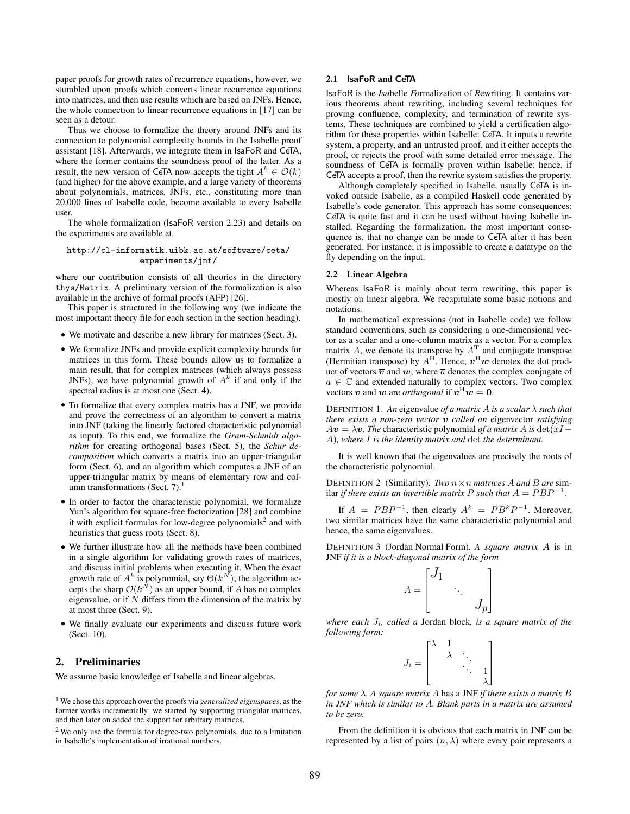paper proofs for growth rates of recurrence equations, however, we stumbled upon proofs which converts linear recurrence equations into matrices, and then use results which are based on JNFs. Hence, the whole connection to linear recurrence equations in [17] can be seen as a detour.

Thus we choose to formalize the theory around JNFs and its connection to polynomial complexity bounds in the Isabelle proof assistant [18]. Afterwards, we integrate them in IsaFoR and CeTA, where the former contains the soundness proof of the latter. As a result, the new version of CeTA now accepts the tight  $A^k \in \mathcal{O}(k)$ (and higher) for the above example, and a large variety of theorems about polynomials, matrices, JNFs, etc., constituting more than 20,000 lines of Isabelle code, become available to every Isabelle user.

The whole formalization (IsaFoR version 2.23) and details on the experiments are available at

#### http://cl-informatik.uibk.ac.at/software/ceta/ experiments/jnf/

where our contribution consists of all theories in the directory thys/Matrix. A preliminary version of the formalization is also available in the archive of formal proofs (AFP) [26].

This paper is structured in the following way (we indicate the most important theory file for each section in the section heading).

- We motivate and describe a new library for matrices (Sect. 3).
- We formalize JNFs and provide explicit complexity bounds for matrices in this form. These bounds allow us to formalize a main result, that for complex matrices (which always possess JNFs), we have polynomial growth of  $A<sup>k</sup>$  if and only if the spectral radius is at most one (Sect. 4).
- To formalize that every complex matrix has a JNF, we provide and prove the correctness of an algorithm to convert a matrix into JNF (taking the linearly factored characteristic polynomial as input). To this end, we formalize the *Gram-Schmidt algorithm* for creating orthogonal bases (Sect. 5), the *Schur decomposition* which converts a matrix into an upper-triangular form (Sect. 6), and an algorithm which computes a JNF of an upper-triangular matrix by means of elementary row and column transformations (Sect. 7). $<sup>1</sup>$ </sup>
- In order to factor the characteristic polynomial, we formalize Yun's algorithm for square-free factorization [28] and combine it with explicit formulas for low-degree polynomials<sup>2</sup> and with heuristics that guess roots (Sect. 8).
- We further illustrate how all the methods have been combined in a single algorithm for validating growth rates of matrices, and discuss initial problems when executing it. When the exact growth rate of  $A^k$  is polynomial, say  $\Theta(k^N)$ , the algorithm accepts the sharp  $\mathcal{O}(k^N)$  as an upper bound, if A has no complex eigenvalue, or if  $N$  differs from the dimension of the matrix by at most three (Sect. 9).
- We finally evaluate our experiments and discuss future work (Sect. 10).

# 2. Preliminaries

We assume basic knowledge of Isabelle and linear algebras.

# 2.1 IsaFoR and CeTA

IsaFoR is the *Isa*belle *Fo*rmalization of *R*ewriting. It contains various theorems about rewriting, including several techniques for proving confluence, complexity, and termination of rewrite systems. These techniques are combined to yield a certification algorithm for these properties within Isabelle: CeTA. It inputs a rewrite system, a property, and an untrusted proof, and it either accepts the proof, or rejects the proof with some detailed error message. The soundness of CeTA is formally proven within Isabelle; hence, if CeTA accepts a proof, then the rewrite system satisfies the property.

Although completely specified in Isabelle, usually CeTA is invoked outside Isabelle, as a compiled Haskell code generated by Isabelle's code generator. This approach has some consequences: CeTA is quite fast and it can be used without having Isabelle installed. Regarding the formalization, the most important consequence is, that no change can be made to CeTA after it has been generated. For instance, it is impossible to create a datatype on the fly depending on the input.

#### 2.2 Linear Algebra

Whereas IsaFoR is mainly about term rewriting, this paper is mostly on linear algebra. We recapitulate some basic notions and notations.

In mathematical expressions (not in Isabelle code) we follow standard conventions, such as considering a one-dimensional vector as a scalar and a one-column matrix as a vector. For a complex matrix A, we denote its transpose by  $A<sup>T</sup>$  and conjugate transpose (Hermitian transpose) by  $A<sup>H</sup>$ . Hence,  $v<sup>H</sup>w$  denotes the dot product of vectors  $\overline{v}$  and w, where  $\overline{a}$  denotes the complex conjugate of  $a \in \mathbb{C}$  and extended naturally to complex vectors. Two complex vectors v and w are *orthogonal* if  $v^H w = 0$ .

DEFINITION 1. *An* eigenvalue *of a matrix* A *is a scalar* λ *such that there exists a non-zero vector* v *called an* eigenvector *satisfying*  $Av = \lambda v$ . The characteristic polynomial *of a matrix* A *is* det(xI – A)*, where* I *is the identity matrix and* det *the determinant.*

It is well known that the eigenvalues are precisely the roots of the characteristic polynomial.

DEFINITION 2 (Similarity). *Two*  $n \times n$  *matrices* A and B are sim*ilar if there exists an invertible matrix*  $P$  *such that*  $A = PBP^{-1}$ *.* 

If  $A = PBP^{-1}$ , then clearly  $A^k = PB^kP^{-1}$ . Moreover, two similar matrices have the same characteristic polynomial and hence, the same eigenvalues.

DEFINITION 3 (Jordan Normal Form). *A square matrix* A is in JNF *if it is a block-diagonal matrix of the form*

$$
A = \begin{bmatrix} J_1 & & \\ & \ddots & \\ & & J_p \end{bmatrix}
$$

*where each* Ji*, called a* Jordan block*, is a square matrix of the following form:*

$$
J_i = \begin{bmatrix} \lambda & 1 & & & \\ & \lambda & \ddots & & \\ & & \ddots & 1 \\ & & & \lambda \end{bmatrix}
$$

*for some* λ*. A square matrix* A has a JNF *if there exists a matrix* B *in JNF which is similar to* A*. Blank parts in a matrix are assumed to be zero.*

From the definition it is obvious that each matrix in JNF can be represented by a list of pairs  $(n, \lambda)$  where every pair represents a

<sup>1</sup> We chose this approach over the proofs via *generalized eigenspaces*, as the former works incrementally: we started by supporting triangular matrices, and then later on added the support for arbitrary matrices.

<sup>2</sup> We only use the formula for degree-two polynomials, due to a limitation in Isabelle's implementation of irrational numbers.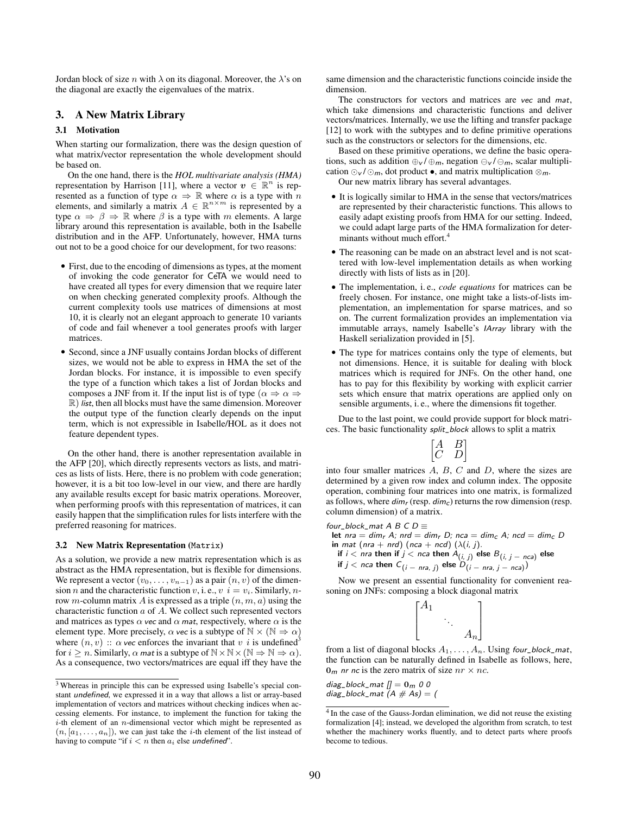Jordan block of size n with  $\lambda$  on its diagonal. Moreover, the  $\lambda$ 's on the diagonal are exactly the eigenvalues of the matrix.

## 3. A New Matrix Library

## 3.1 Motivation

When starting our formalization, there was the design question of what matrix/vector representation the whole development should be based on.

On the one hand, there is the *HOL multivariate analysis (HMA)* representation by Harrison [11], where a vector  $v \in \mathbb{R}^n$  is represented as a function of type  $\alpha \Rightarrow \mathbb{R}$  where  $\alpha$  is a type with n elements, and similarly a matrix  $A \in \mathbb{R}^{n \times m}$  is represented by a type  $\alpha \Rightarrow \beta \Rightarrow \mathbb{R}$  where  $\beta$  is a type with m elements. A large library around this representation is available, both in the Isabelle distribution and in the AFP. Unfortunately, however, HMA turns out not to be a good choice for our development, for two reasons:

- First, due to the encoding of dimensions as types, at the moment of invoking the code generator for CeTA we would need to have created all types for every dimension that we require later on when checking generated complexity proofs. Although the current complexity tools use matrices of dimensions at most 10, it is clearly not an elegant approach to generate 10 variants of code and fail whenever a tool generates proofs with larger matrices.
- Second, since a JNF usually contains Jordan blocks of different sizes, we would not be able to express in HMA the set of the Jordan blocks. For instance, it is impossible to even specify the type of a function which takes a list of Jordan blocks and composes a JNF from it. If the input list is of type ( $\alpha \Rightarrow \alpha \Rightarrow$  $\mathbb{R}$ ) *list*, then all blocks must have the same dimension. Moreover the output type of the function clearly depends on the input term, which is not expressible in Isabelle/HOL as it does not feature dependent types.

On the other hand, there is another representation available in the AFP [20], which directly represents vectors as lists, and matrices as lists of lists. Here, there is no problem with code generation; however, it is a bit too low-level in our view, and there are hardly any available results except for basic matrix operations. Moreover, when performing proofs with this representation of matrices, it can easily happen that the simplification rules for lists interfere with the preferred reasoning for matrices.

#### 3.2 New Matrix Representation (Matrix)

As a solution, we provide a new matrix representation which is as abstract as the HMA representation, but is flexible for dimensions. We represent a vector  $(v_0, \ldots, v_{n-1})$  as a pair  $(n, v)$  of the dimension *n* and the characteristic function *v*, i. e., *v*  $i = v_i$ . Similarly, *n*row *m*-column matrix A is expressed as a triple  $(n, m, a)$  using the characteristic function  $a$  of  $A$ . We collect such represented vectors and matrices as types  $\alpha$  vec and  $\alpha$  mat, respectively, where  $\alpha$  is the element type. More precisely,  $\alpha$  vec is a subtype of  $\mathbb{N} \times (\mathbb{N} \Rightarrow \alpha)$ where  $(n, v)$ :  $\alpha$  vec enforces the invariant that v i is undefined<sup>3</sup> for  $i \geq n$ . Similarly,  $\alpha$  mat is a subtype of  $\mathbb{N} \times \mathbb{N} \times (\mathbb{N} \Rightarrow \mathbb{N} \Rightarrow \alpha)$ . As a consequence, two vectors/matrices are equal iff they have the same dimension and the characteristic functions coincide inside the dimension.

The constructors for vectors and matrices are vec and mat, which take dimensions and characteristic functions and deliver vectors/matrices. Internally, we use the lifting and transfer package [12] to work with the subtypes and to define primitive operations such as the constructors or selectors for the dimensions, etc.

Based on these primitive operations, we define the basic operations, such as addition  $\bigoplus_{\nu}/\bigoplus_{m}$ , negation  $\bigoplus_{\nu}/\bigoplus_{m}$ , scalar multiplication  $\odot$ <sub>v</sub> /  $\odot$ <sub>m</sub>, dot product •, and matrix multiplication  $\otimes$ <sub>m</sub>.

Our new matrix library has several advantages.

- It is logically similar to HMA in the sense that vectors/matrices are represented by their characteristic functions. This allows to easily adapt existing proofs from HMA for our setting. Indeed, we could adapt large parts of the HMA formalization for determinants without much effort.<sup>4</sup>
- The reasoning can be made on an abstract level and is not scattered with low-level implementation details as when working directly with lists of lists as in [20].
- The implementation, i. e., *code equations* for matrices can be freely chosen. For instance, one might take a lists-of-lists implementation, an implementation for sparse matrices, and so on. The current formalization provides an implementation via immutable arrays, namely Isabelle's IArray library with the Haskell serialization provided in [5].
- The type for matrices contains only the type of elements, but not dimensions. Hence, it is suitable for dealing with block matrices which is required for JNFs. On the other hand, one has to pay for this flexibility by working with explicit carrier sets which ensure that matrix operations are applied only on sensible arguments, i. e., where the dimensions fit together.

Due to the last point, we could provide support for block matrices. The basic functionality split\_block allows to split a matrix

$$
\begin{bmatrix} A & B \\ C & D \end{bmatrix}
$$

into four smaller matrices  $A$ ,  $B$ ,  $C$  and  $D$ , where the sizes are determined by a given row index and column index. The opposite operation, combining four matrices into one matrix, is formalized as follows, where  $\dim_r$  (resp.  $\dim_c$ ) returns the row dimension (resp. column dimension) of a matrix.

four\_block\_mat A B C D  $\equiv$ let nra = dim<sub>r</sub> A; nrd = dim<sub>r</sub> D; nca = dim<sub>c</sub> A; ncd = dim<sub>c</sub> D in mat (nra + nrd) (nca + ncd)  $(\lambda(i, j))$ . if  $i <$  nra then if  $j <$  nca then  $A_{(i,\;j)}$  else  $B_{(i,\;j\; - \; n c a)}$  else if  $j <$  nca then  $C_{(i \ - \ nra, \ j)}$  else  $D_{(i \ - \ nra, \ j \ - \ nca)})$ 

Now we present an essential functionality for convenient reasoning on JNFs: composing a block diagonal matrix

| $A_1$ |       |
|-------|-------|
|       |       |
|       | $A_n$ |

from a list of diagonal blocks  $A_1, \ldots, A_n$ . Using four\_block\_mat, the function can be naturally defined in Isabelle as follows, here,  $0<sub>m</sub>$  nr nc is the zero matrix of size  $nr \times nc$ .

diag\_block\_mat  $[] = 0_m 0 0$ diag\_block\_mat  $(A \# As) = ($ 

<sup>3</sup> Whereas in principle this can be expressed using Isabelle's special constant undefined, we expressed it in a way that allows a list or array-based implementation of vectors and matrices without checking indices when accessing elements. For instance, to implement the function for taking the  $i$ -th element of an  $n$ -dimensional vector which might be represented as  $(n, [a_1, \ldots, a_n])$ , we can just take the *i*-th element of the list instead of having to compute "if  $i < n$  then  $a_i$  else undefined".

<sup>&</sup>lt;sup>4</sup> In the case of the Gauss-Jordan elimination, we did not reuse the existing formalization [4]; instead, we developed the algorithm from scratch, to test whether the machinery works fluently, and to detect parts where proofs become to tedious.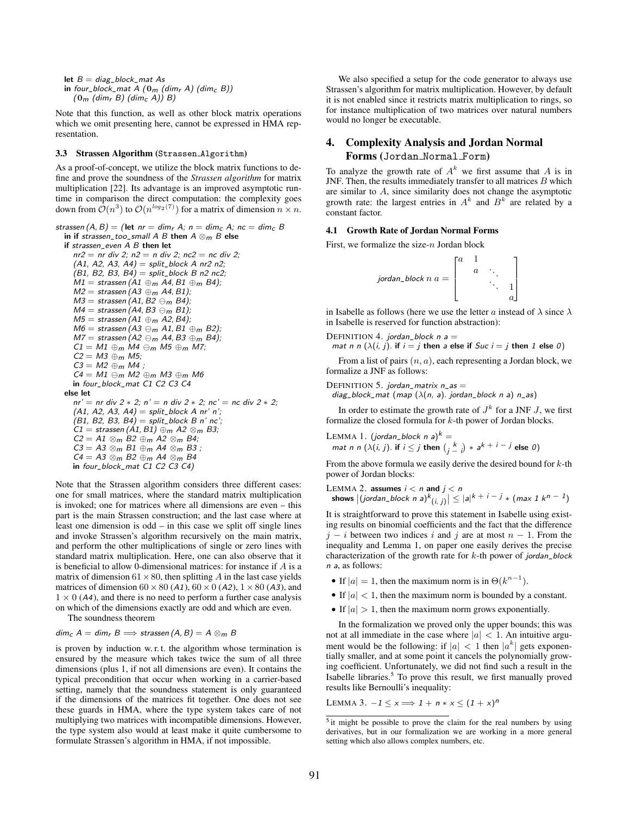let  $B = diag_block_m$ at As in four\_block\_mat A  $(0_m$  (dim<sub>r</sub> A) (dim<sub>c</sub> B))  $(0_m$  (dim<sub>r</sub> B) (dim<sub>c</sub> A)) B)

Note that this function, as well as other block matrix operations which we omit presenting here, cannot be expressed in HMA representation.

#### 3.3 Strassen Algorithm (Strassen Algorithm)

As a proof-of-concept, we utilize the block matrix functions to define and prove the soundness of the *Strassen algorithm* for matrix multiplication [22]. Its advantage is an improved asymptotic runtime in comparison the direct computation: the complexity goes down from  $\mathcal{O}(n^3)$  to  $\mathcal{O}(n^{\log_2(7)})$  for a matrix of dimension  $n \times n$ .

```
strassen (A, B) = (let nr = dim<sub>r</sub> A; n = dim<sub>c</sub> A; nc = dim<sub>c</sub> Bin if strassen_too_small A B then A \otimes_m B else
  if strassen_even A B then let
     nr2 = nr div 2; n2 = n div 2; nc2 = nc div 2;
     (A1, A2, A3, A4) = split_block A nr2 n2;
     (B1, B2, B3, B4) = split_block B n2 nc2;
     M1 = strassen (A1 \oplusm A4, B1 \oplusm B4);
     M2 = strassen (A3 \oplusm A4, B1);
     M3 = strassen (A1, B2 \ominus_m B4);
     M4 = strassen (A4, B3 \ominus_m B1);M5 = strassen (A1 \oplus_m A2, B4);
     M6 = strassen (A3 \ominus_m A1, B1 \oplus_m B2);
     M7 = strassen (A2 \ominus_m A4, B3 \oplus_m B4);
     C1 = M1 \oplus_m M4 \ominus_m M5 \oplus_m M7;C2 = M3 \oplus m M5;C3 = M2 \oplus m M4;
     C4 = M1 \ominus_m M2 \oplus_m M3 \oplus_m M6in four_block_mat C1 C2 C3 C4
  else let
     nr' = nr div 2 * 2; n' = n div 2 * 2; nc' = nc div 2 * 2;(A1, A2, A3, A4) = split\_block A nr' n';(B1, B2, B3, B4) = split_block B n' nc';
     CI = stressen(A1, B1) \oplus m A2 \otimes m B3;C2 = A1 \otimes_m B2 \oplus_m A2 \otimes_m B4;C3 = A3 \otimes_m B1 \oplus_m A4 \otimes_m B3;C4 = A3 \otimes_m B2 \oplus_m A4 \otimes_m B4in four_block_mat C1 C2 C3 C4)
```
Note that the Strassen algorithm considers three different cases: one for small matrices, where the standard matrix multiplication is invoked; one for matrices where all dimensions are even – this part is the main Strassen construction; and the last case where at least one dimension is odd – in this case we split off single lines and invoke Strassen's algorithm recursively on the main matrix, and perform the other multiplications of single or zero lines with standard matrix multiplication. Here, one can also observe that it is beneficial to allow 0-dimensional matrices: for instance if A is a matrix of dimension  $61 \times 80$ , then splitting A in the last case yields matrices of dimension  $60 \times 80$  (A1),  $60 \times 0$  (A2),  $1 \times 80$  (A3), and  $1 \times 0$  (A4), and there is no need to perform a further case analysis on which of the dimensions exactly are odd and which are even.

The soundness theorem

$$
dim_{\mathcal{C}} A = dim_{\mathcal{C}} B \Longrightarrow \text{strassen}(A, B) = A \otimes_{m} B
$$

is proven by induction w. r. t. the algorithm whose termination is ensured by the measure which takes twice the sum of all three dimensions (plus 1, if not all dimensions are even). It contains the typical precondition that occur when working in a carrier-based setting, namely that the soundness statement is only guaranteed if the dimensions of the matrices fit together. One does not see these guards in HMA, where the type system takes care of not multiplying two matrices with incompatible dimensions. However, the type system also would at least make it quite cumbersome to formulate Strassen's algorithm in HMA, if not impossible.

We also specified a setup for the code generator to always use Strassen's algorithm for matrix multiplication. However, by default it is not enabled since it restricts matrix multiplication to rings, so for instance multiplication of two matrices over natural numbers would no longer be executable.

# 4. Complexity Analysis and Jordan Normal Forms (Jordan Normal Form)

To analyze the growth rate of  $A^k$  we first assume that A is in JNF. Then, the results immediately transfer to all matrices  $B$  which are similar to A, since similarity does not change the asymptotic growth rate: the largest entries in  $A^k$  and  $B^k$  are related by a constant factor.

## 4.1 Growth Rate of Jordan Normal Forms

First, we formalize the size-n Jordan block

$$
jordan\_block n a = \begin{bmatrix} a & 1 & & \\ & a & \ddots & \\ & & \ddots & 1 \\ & & & a \end{bmatrix}
$$

in Isabelle as follows (here we use the letter a instead of  $\lambda$  since  $\lambda$ in Isabelle is reserved for function abstraction):

DEFINITION 4. jordan\_block  $n =$ 

mat n n  $(\lambda(i, j)$ . if  $i = j$  then a else if Suc  $i = j$  then 1 else 0)

From a list of pairs  $(n, a)$ , each representing a Jordan block, we formalize a JNF as follows:

DEFINITION 5. jordan\_matrix  $n$ \_as  $=$ 

diag\_block\_mat (map  $(\lambda(n, a)$ . jordan\_block n a) n\_as)

In order to estimate the growth rate of  $J^k$  for a JNF  $J$ , we first formalize the closed formula for k-th power of Jordan blocks.

 ${\rm LEMMA}$   $1.$  (jordan\_block n a) $^k=$ mat n n  $(\lambda(i, j)$ . if  $i \leq j$  then  $\binom{k}{j - j} * a^{k + i - j}$  else  $0)$ 

From the above formula we easily derive the desired bound for  $k$ -th power of Jordan blocks:

LEMMA 2. assumes  $i < n$  and  $j < n$ shows  $\big|($ jordan\_block n a $)^{k}(i,j)\big| \leq |a|^{k \ + \ i \ - \ j} \ast (max \ 1 \ k^{n \ - \ 1})$ 

It is straightforward to prove this statement in Isabelle using existing results on binomial coefficients and the fact that the difference  $j - i$  between two indices i and j are at most  $n - 1$ . From the inequality and Lemma 1, on paper one easily derives the precise characterization of the growth rate for  $k$ -th power of jordan\_block n a, as follows:

- If  $|a| = 1$ , then the maximum norm is in  $\Theta(k^{n-1})$ .
- If  $|a|$  < 1, then the maximum norm is bounded by a constant.
- If  $|a| > 1$ , then the maximum norm grows exponentially.

In the formalization we proved only the upper bounds; this was not at all immediate in the case where  $|a| < 1$ . An intuitive argument would be the following: if  $|a| < 1$  then  $|a^k|$  gets exponentially smaller, and at some point it cancels the polynomially growing coefficient. Unfortunately, we did not find such a result in the Isabelle libraries.<sup>5</sup> To prove this result, we first manually proved results like Bernoulli's inequality:

LEMMA 3.  $-1 \le x \Longrightarrow 1 + n * x \le (1 + x)^n$ 

<sup>&</sup>lt;sup>5</sup> it might be possible to prove the claim for the real numbers by using derivatives, but in our formalization we are working in a more general setting which also allows complex numbers, etc.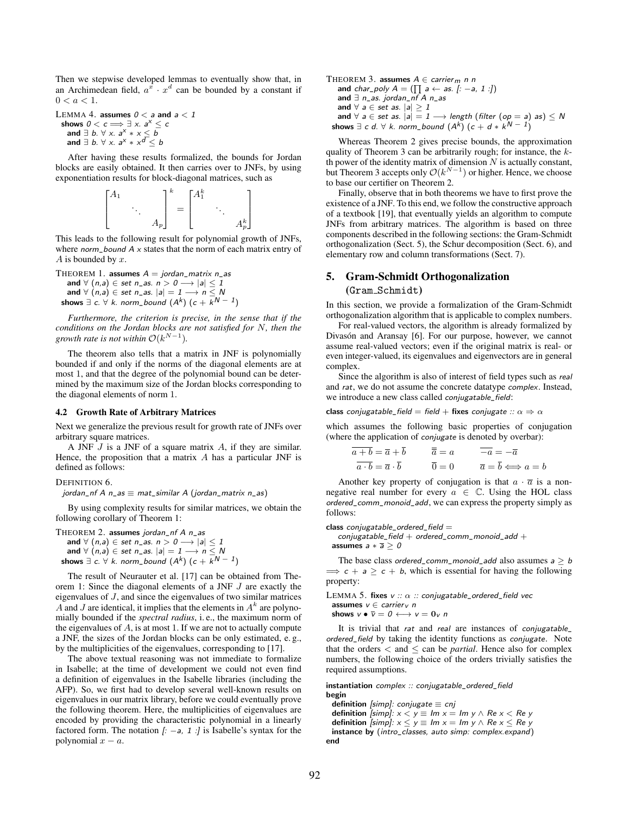Then we stepwise developed lemmas to eventually show that, in an Archimedean field,  $a^x \cdot x^d$  can be bounded by a constant if  $0 < a < 1$ .

LEMMA 4. assumes  $0 < a$  and  $a < 1$ shows  $0 < c \Longrightarrow \exists x. a^x \leq c$ and  $\exists b. \forall x. a^x * x \leq b$ and  $\exists$   $b.$   $\forall$   $x.$   $a^x * x^d \leq b$ 

After having these results formalized, the bounds for Jordan blocks are easily obtained. It then carries over to JNFs, by using exponentiation results for block-diagonal matrices, such as



This leads to the following result for polynomial growth of JNFs, where norm\_bound  $A \times$  states that the norm of each matrix entry of  $A$  is bounded by  $x$ .

THEOREM 1. assumes  $A = jordan_matrix n_as$ and  $\forall$   $(n,a) \in$  set  $n\_as.$   $n > 0 \longrightarrow |a| \leq 1$ and  $\forall$   $(n,a) \in$  set  $n\_as$ .  $|a| = 1 \rightarrow n \leq N$ shows  $\exists$  c.  $\forall$  k. norm\_bound  $(A^{k})$   $(c + k^{N - 1})$ 

*Furthermore, the criterion is precise, in the sense that if the conditions on the Jordan blocks are not satisfied for* N*, then the growth rate is not within*  $\mathcal{O}(k^{N-1})$ *.* 

The theorem also tells that a matrix in JNF is polynomially bounded if and only if the norms of the diagonal elements are at most 1, and that the degree of the polynomial bound can be determined by the maximum size of the Jordan blocks corresponding to the diagonal elements of norm 1.

#### 4.2 Growth Rate of Arbitrary Matrices

Next we generalize the previous result for growth rate of JNFs over arbitrary square matrices.

A JNF  $J$  is a JNF of a square matrix  $A$ , if they are similar. Hence, the proposition that a matrix  $A$  has a particular JNF is defined as follows:

#### DEFINITION 6.

jordan\_nf A  $n$ \_as  $\equiv$  mat\_similar A (jordan\_matrix n\_as)

By using complexity results for similar matrices, we obtain the following corollary of Theorem 1:

```
THEOREM 2. assumes jordan_nf A n_as
    and \forall (n,a) \in set n as. n > 0 \longrightarrow |a| \leq 1and \forall (n,a) \in set n_as. |a| = 1 \rightarrow n \leq Nshows \exists c. \forall k. norm_bound (A^{k}) (c + k^{N - 1})
```
The result of Neurauter et al. [17] can be obtained from Theorem 1: Since the diagonal elements of a JNF J are exactly the eigenvalues of J, and since the eigenvalues of two similar matrices A and J are identical, it implies that the elements in  $A<sup>k</sup>$  are polynomially bounded if the *spectral radius*, i. e., the maximum norm of the eigenvalues of  $A$ , is at most 1. If we are not to actually compute a JNF, the sizes of the Jordan blocks can be only estimated, e. g., by the multiplicities of the eigenvalues, corresponding to [17].

The above textual reasoning was not immediate to formalize in Isabelle; at the time of development we could not even find a definition of eigenvalues in the Isabelle libraries (including the AFP). So, we first had to develop several well-known results on eigenvalues in our matrix library, before we could eventually prove the following theorem. Here, the multiplicities of eigenvalues are encoded by providing the characteristic polynomial in a linearly factored form. The notation  $[i -a, 1]$  is Isabelle's syntax for the polynomial  $x - a$ .

THEOREM 3. assumes 
$$
A \in carrier_m n n
$$
  
\nand  $char\_poly A = (\prod a \leftarrow as. [-a, 1 :])$   
\nand  $\exists n\_as. Jordan\_nf A n\_as$   
\nand  $\forall a \in set as. |a| \ge 1$   
\nand  $\forall a \in set as. |a| = 1 \longrightarrow length (filter (op = a) as) \le N$   
\nshows  $\exists c d. \forall k. norm\_bound (A^k) (c + d * k^{N-1})$ 

Whereas Theorem 2 gives precise bounds, the approximation quality of Theorem 3 can be arbitrarily rough; for instance, the kth power of the identity matrix of dimension  $N$  is actually constant, but Theorem 3 accepts only  $\mathcal{O}(k^{N-1})$  or higher. Hence, we choose to base our certifier on Theorem 2.

Finally, observe that in both theorems we have to first prove the existence of a JNF. To this end, we follow the constructive approach of a textbook [19], that eventually yields an algorithm to compute JNFs from arbitrary matrices. The algorithm is based on three components described in the following sections: the Gram-Schmidt orthogonalization (Sect. 5), the Schur decomposition (Sect. 6), and elementary row and column transformations (Sect. 7).

## 5. Gram-Schmidt Orthogonalization (Gram Schmidt)

In this section, we provide a formalization of the Gram-Schmidt orthogonalization algorithm that is applicable to complex numbers.

For real-valued vectors, the algorithm is already formalized by Divasón and Aransay [6]. For our purpose, however, we cannot assume real-valued vectors; even if the original matrix is real- or even integer-valued, its eigenvalues and eigenvectors are in general complex.

Since the algorithm is also of interest of field types such as real and rat, we do not assume the concrete datatype complex. Instead, we introduce a new class called conjugatable\_field:

class conjugatable\_field = field + fixes conjugate ::  $\alpha \Rightarrow \alpha$ 

which assumes the following basic properties of conjugation (where the application of conjugate is denoted by overbar):

$$
\overline{a+b} = \overline{a} + \overline{b} \qquad \overline{\overline{a}} = a \qquad \overline{-a} = -\overline{a}
$$

$$
\overline{a \cdot b} = \overline{a} \cdot \overline{b} \qquad \overline{0} = 0 \qquad \overline{a} = \overline{b} \Longleftrightarrow a = b
$$

Another key property of conjugation is that  $a \cdot \overline{a}$  is a nonnegative real number for every  $a \in \mathbb{C}$ . Using the HOL class ordered\_comm\_monoid\_add, we can express the property simply as follows:

class  $conjugatable$ -ordered\_field  $=$ 

 $conjugatable_field + ordered_{comm_{monoid}} = dd +$ assumes  $a * \overline{a} > 0$ 

The base class ordered\_comm\_monoid\_add also assumes  $a \geq b$  $\Rightarrow$  c + a  $\geq$  c + b, which is essential for having the following property:

LEMMA 5. fixes  $v :: \alpha :: \text{conjugatable\_ordered\_field vec}$ assumes  $v \in carrier_V$  n

shows  $v \bullet \overline{v} = 0 \longleftrightarrow v = 0$ <sub>v</sub> n

It is trivial that rat and real are instances of conjugatable\_ ordered\_field by taking the identity functions as conjugate. Note that the orders  $\lt$  and  $\leq$  can be *partial*. Hence also for complex numbers, the following choice of the orders trivially satisfies the required assumptions.

instantiation complex :: conjugatable\_ordered\_field begin

definition [simp]: conjugate  $\equiv$  cnj definition [simp]:  $x < y \equiv Im x = Im y \wedge Re x < Re y$ definition [simp]:  $x \le y \equiv Im \ x = Im \ y \wedge Re \ x \le Re \ y$ instance by (intro\_classes, auto simp: complex.expand) end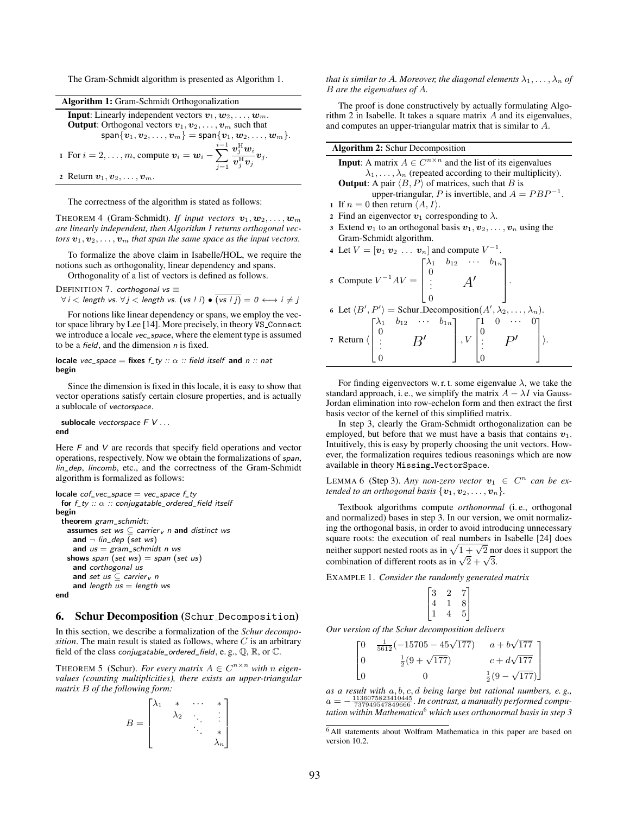The Gram-Schmidt algorithm is presented as Algorithm 1.

| <b>Algorithm 1:</b> Gram-Schmidt Orthogonalization                                                                                          |  |
|---------------------------------------------------------------------------------------------------------------------------------------------|--|
| <b>Input:</b> Linearly independent vectors $v_1, w_2, \ldots, w_m$ .<br><b>Output:</b> Orthogonal vectors $v_1, v_2, \ldots, v_m$ such that |  |
| $\textsf{span}{\{v_1, v_2, \ldots, v_m\}} = \textsf{span}{\{v_1, w_2, \ldots, w_m\}}.$                                                      |  |
| 1 For $i = 2, \ldots, m$ , compute $v_i = w_i - \sum_{j=1}^{i-1} \frac{v_j^{\text{H}} w_i}{v_j^{\text{H}} v_j} v_j$ .                       |  |
| 2 Return $v_1, v_2, \ldots, v_m$ .                                                                                                          |  |

The correctness of the algorithm is stated as follows:

THEOREM 4 (Gram-Schmidt). *If input vectors*  $v_1, w_2, \ldots, w_m$ *are linearly independent, then Algorithm 1 returns orthogonal vectors*  $v_1, v_2, \ldots, v_m$  *that span the same space as the input vectors.* 

To formalize the above claim in Isabelle/HOL, we require the notions such as orthogonality, linear dependency and spans.

Orthogonality of a list of vectors is defined as follows.

DEFINITION 7. corthogonal vs  $\equiv$  $\forall i$  < length vs.  $\forall j$  < length vs. (vs ! i) •  $\overline{(vs ! j)} = 0 \leftrightarrow i \neq j$ 

For notions like linear dependency or spans, we employ the vector space library by Lee [14]. More precisely, in theory VS Connect we introduce a locale vec\_space, where the element type is assumed to be a *field*, and the dimension  $n$  is fixed.

locale vec\_space = fixes  $f_t y :: \alpha ::$  field itself and  $n ::$  nat begin

Since the dimension is fixed in this locale, it is easy to show that vector operations satisfy certain closure properties, and is actually a sublocale of vectorspace.

sublocale vectorspace  $F V \ldots$ end

Here  $F$  and  $V$  are records that specify field operations and vector operations, respectively. Now we obtain the formalizations of span, lin\_dep, lincomb, etc., and the correctness of the Gram-Schmidt algorithm is formalized as follows:

```
locale cof\_vec\_space = vec\_space f\_tyfor f_t y :: \alpha :: conjugatable\_ordered\_field itself
begin
 theorem gram_schmidt:
   assumes set ws \subseteq carrier \sqrt{n} and distinct ws
     and \neg lin_dep (set ws)
     and us = gram\_schmidt n ws
   shows span (set ws) = span (set us)
     and corthogonal us
     and set us \subseteq carrier v n
     and length us = length ws
end
```
## 6. Schur Decomposition (Schur Decomposition)

In this section, we describe a formalization of the *Schur decomposition*. The main result is stated as follows, where  $C$  is an arbitrary field of the class conjugatable\_ordered\_field, e.g.,  $\mathbb{Q}, \mathbb{R}$ , or  $\mathbb{C}$ .

THEOREM 5 (Schur). *For every matrix*  $A \in C^{n \times n}$  *with n eigenvalues (counting multiplicities), there exists an upper-triangular matrix* B *of the following form:*

$$
B = \begin{bmatrix} \lambda_1 & * & \cdots & * \\ & \lambda_2 & \ddots & \vdots \\ & & \ddots & * \\ & & & \lambda_n \end{bmatrix}
$$

*that is similar to A. Moreover, the diagonal elements*  $\lambda_1, \ldots, \lambda_n$  *of* B *are the eigenvalues of* A*.*

The proof is done constructively by actually formulating Algorithm 2 in Isabelle. It takes a square matrix  $A$  and its eigenvalues, and computes an upper-triangular matrix that is similar to A.

| <b>Algorithm 2:</b> Schur Decomposition                                                                                                                                                                                                  |
|------------------------------------------------------------------------------------------------------------------------------------------------------------------------------------------------------------------------------------------|
| <b>Input:</b> A matrix $A \in C^{n \times n}$ and the list of its eigenvalues<br>$\lambda_1, \ldots, \lambda_n$ (repeated according to their multiplicity).                                                                              |
| <b>Output:</b> A pair $\langle B, P \rangle$ of matrices, such that B is                                                                                                                                                                 |
| upper-triangular, P is invertible, and $A = PBP^{-1}$ .                                                                                                                                                                                  |
| 1 If $n = 0$ then return $\langle A, I \rangle$ .                                                                                                                                                                                        |
| 2 Find an eigenvector $v_1$ corresponding to $\lambda$ .                                                                                                                                                                                 |
| 3 Extend $v_1$ to an orthogonal basis $v_1, v_2, \ldots, v_n$ using the                                                                                                                                                                  |
| Gram-Schmidt algorithm.                                                                                                                                                                                                                  |
| 4 Let $V = [\mathbf{v}_1 \; \mathbf{v}_2 \; \dots \; \mathbf{v}_n]$ and compute $V^{-1}$ .                                                                                                                                               |
| 5 Compute $V^{-1}AV = \begin{bmatrix} \lambda_1 & b_{12} & \cdots & b_{1n} \\ 0 & & A' \\ \vdots & & A' \end{bmatrix}$ .                                                                                                                 |
| 6 Let $\langle B', P' \rangle$ = Schur_Decomposition( $A', \lambda_2, , \lambda_n$ ).                                                                                                                                                    |
| 7 Return $\langle \begin{bmatrix} \lambda_1 & b_{12} & \cdots & b_{1n} \\ 0 & & & \\ \vdots & & B' & \\ 0 & & & \end{bmatrix}$ , $V \begin{bmatrix} 1 & 0 & \cdots & 0 \\ 0 & & & \\ \vdots & & P' & \\ 0 & & & \end{bmatrix} \rangle$ . |

For finding eigenvectors w. r. t. some eigenvalue  $\lambda$ , we take the standard approach, i. e., we simplify the matrix  $A - \lambda I$  via Gauss-Jordan elimination into row-echelon form and then extract the first basis vector of the kernel of this simplified matrix.

In step 3, clearly the Gram-Schmidt orthogonalization can be employed, but before that we must have a basis that contains  $v_1$ . Intuitively, this is easy by properly choosing the unit vectors. However, the formalization requires tedious reasonings which are now available in theory Missing VectorSpace.

LEMMA 6 (Step 3). *Any non-zero vector*  $v_1 \in C^n$  can be ex*tended to an orthogonal basis*  $\{v_1, v_2, \ldots, v_n\}$ .

Textbook algorithms compute *orthonormal* (i. e., orthogonal and normalized) bases in step 3. In our version, we omit normalizing the orthogonal basis, in order to avoid introducing unnecessary square roots: the execution of real numbers in Isabelle [24] does square roots, the execution of real numbers in isabelle [24] does<br>neither support nested roots as in  $\sqrt{1 + \sqrt{2}}$  nor does it support the neither support nested roots as in  $\sqrt{1 + \sqrt{2}}$  no<br>combination of different roots as in  $\sqrt{2} + \sqrt{3}$ .

EXAMPLE 1. *Consider the randomly generated matrix*

$$
\begin{bmatrix} 3 & 2 & 7 \\ 4 & 1 & 8 \\ 1 & 4 & 5 \end{bmatrix}
$$

*Our version of the Schur decomposition delivers*

$$
\begin{bmatrix}\n0 & \frac{1}{5612}(-15705 - 45\sqrt{177}) & a + b\sqrt{177} \\
0 & \frac{1}{2}(9 + \sqrt{177}) & c + d\sqrt{177} \\
0 & 0 & \frac{1}{2}(9 - \sqrt{177})\n\end{bmatrix}
$$

*as a result with* a, b, c, d *being large but rational numbers, e. g.,* a = − 1136075823410445 <sup>737949547849666</sup> *. In contrast, a manually performed computation within Mathematica*<sup>6</sup> *which uses orthonormal basis in step 3*

<sup>6</sup> All statements about Wolfram Mathematica in this paper are based on version 10.2.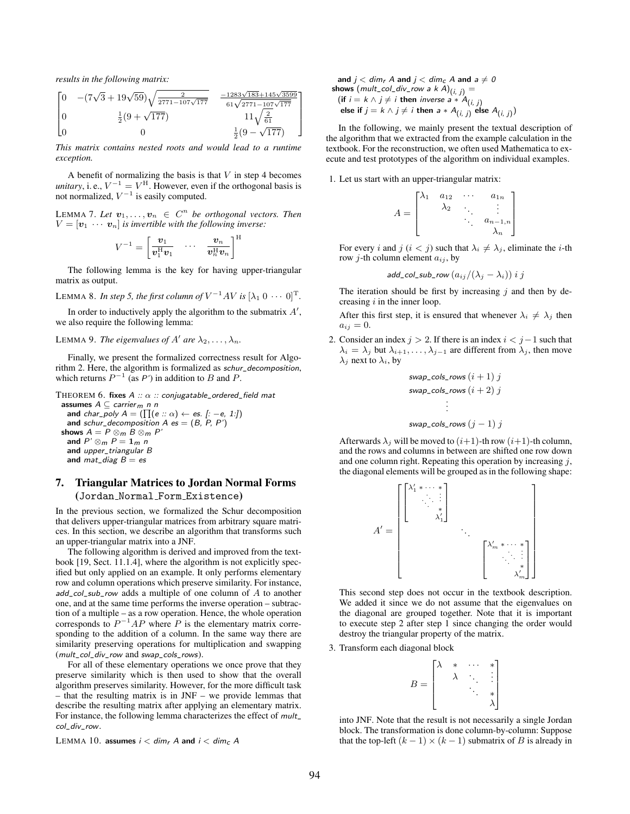*results in the following matrix:*

$$
\begin{bmatrix}\n0 & -(7\sqrt{3} + 19\sqrt{59})\sqrt{\frac{2}{2771 - 107\sqrt{177}}} & \frac{-1283\sqrt{183} + 145\sqrt{3599}}{61\sqrt{2771 - 107\sqrt{177}}} \\
0 & \frac{1}{2}(9 + \sqrt{177}) & 11\sqrt{\frac{2}{61}} \\
0 & 0 & \frac{1}{2}(9 - \sqrt{177})\n\end{bmatrix}
$$

*This matrix contains nested roots and would lead to a runtime exception.*

A benefit of normalizing the basis is that  $V$  in step 4 becomes *unitary*, i. e.,  $V^{-1} = V^{\text{H}}$ . However, even if the orthogonal basis is not normalized,  $V^{-1}$  is easily computed.

LEMMA 7. Let  $v_1, \ldots, v_n \in C^n$  be orthogonal vectors. Then  $V = [\mathbf{v}_1 \cdots \mathbf{v}_n]$  *is invertible with the following inverse:* 

$$
V^{-1} = \begin{bmatrix} \boldsymbol{v}_1 & \cdots & \boldsymbol{v}_n \\ \boldsymbol{v}_1^{\mathrm{H}} \boldsymbol{v}_1 & \cdots & \boldsymbol{v}_n^{\mathrm{H}} \boldsymbol{v}_n \end{bmatrix}^{\mathrm{H}}
$$

The following lemma is the key for having upper-triangular matrix as output.

LEMMA 8. *In step 5, the first column of*  $V^{-1}AV$  *is*  $[\lambda_1 0 \cdots 0]^{\text{T}}$ .

In order to inductively apply the algorithm to the submatrix  $A'$ , we also require the following lemma:

# LEMMA 9. *The eigenvalues of A' are*  $\lambda_2, \ldots, \lambda_n$ .

Finally, we present the formalized correctness result for Algorithm 2. Here, the algorithm is formalized as schur\_decomposition, which returns  $P^{-1}$  (as P') in addition to B and P.

```
THEOREM 6. fixes A :: \alpha :: conjugatable_ordered_field mat
```
assumes  $A ⊂$  carrier<sub>m</sub> n n and char\_poly  $A = (\prod (e :: \alpha) \leftarrow es. [:-e, 1:])$ and schur\_decomposition  $A$  es = (B, P, P') shows  $A = P \otimes_m B \otimes_m P'$ and  $P' \otimes_m P = \mathbf{1}_m n$ and upper\_triangular B and  $mat\_diag B = es$ 

# 7. Triangular Matrices to Jordan Normal Forms (Jordan Normal Form Existence)

In the previous section, we formalized the Schur decomposition that delivers upper-triangular matrices from arbitrary square matrices. In this section, we describe an algorithm that transforms such an upper-triangular matrix into a JNF.

The following algorithm is derived and improved from the textbook [19, Sect. 11.1.4], where the algorithm is not explicitly specified but only applied on an example. It only performs elementary row and column operations which preserve similarity. For instance,  $add\_col\_sub\_row$  adds a multiple of one column of A to another one, and at the same time performs the inverse operation – subtraction of a multiple – as a row operation. Hence, the whole operation corresponds to  $P^{-1}AP$  where P is the elementary matrix corresponding to the addition of a column. In the same way there are similarity preserving operations for multiplication and swapping (mult\_col\_div\_row and swap\_cols\_rows).

For all of these elementary operations we once prove that they preserve similarity which is then used to show that the overall algorithm preserves similarity. However, for the more difficult task – that the resulting matrix is in JNF – we provide lemmas that describe the resulting matrix after applying an elementary matrix. For instance, the following lemma characterizes the effect of  $mult$ col\_div\_row.

LEMMA 10. assumes  $i < dim<sub>r</sub>$  A and  $i < dim<sub>c</sub>$  A

and 
$$
j < dim_r A
$$
 and  $j < dim_c A$  and  $a \neq 0$   
\nshows  $(mult_col\_div_crow a k A)_{(i, j)} =$   
\n(if  $i = k \land j \neq i$  then inverse  $a * A_{(i, j)}$   
\nelse if  $j = k \land j \neq i$  then  $a * A_{(i, j)}$  else  $A_{(i, j)}$ 

1  $\overline{1}$  $\mathbf{I}$  $\overline{1}$ 

In the following, we mainly present the textual description of the algorithm that we extracted from the example calculation in the textbook. For the reconstruction, we often used Mathematica to execute and test prototypes of the algorithm on individual examples.

1. Let us start with an upper-triangular matrix:

$$
A = \begin{bmatrix} \lambda_1 & a_{12} & \cdots & a_{1n} \\ & \lambda_2 & \ddots & \vdots \\ & & \ddots & a_{n-1,n} \\ & & & \lambda_n \end{bmatrix}
$$

For every i and j  $(i < j)$  such that  $\lambda_i \neq \lambda_j$ , eliminate the *i*-th row *j*-th column element  $a_{ij}$ , by

$$
\mathsf{add\_col\_sub\_row}\left(a_{ij}/(\lambda_j-\lambda_i)\right) \, \mathit{i \, j}
$$

The iteration should be first by increasing  $j$  and then by decreasing  $i$  in the inner loop.

After this first step, it is ensured that whenever  $\lambda_i \neq \lambda_j$  then  $a_{ij} = 0.$ 

2. Consider an index  $j > 2$ . If there is an index  $i < j-1$  such that  $\lambda_i = \lambda_j$  but  $\lambda_{i+1}, \dots, \lambda_{j-1}$  are different from  $\lambda_j$ , then move  $\lambda_i$  next to  $\lambda_i$ , by

$$
swap\_cols\_rows(i + 1) j
$$
  
\n
$$
swap\_cols\_rows(i + 2) j
$$
  
\n
$$
\vdots
$$

$$
swap\_cols\_rows(j-1)j
$$

Afterwards  $\lambda_j$  will be moved to  $(i+1)$ -th row  $(i+1)$ -th column, and the rows and columns in between are shifted one row down and one column right. Repeating this operation by increasing  $i$ , the diagonal elements will be grouped as in the following shape:



This second step does not occur in the textbook description. We added it since we do not assume that the eigenvalues on the diagonal are grouped together. Note that it is important to execute step 2 after step 1 since changing the order would destroy the triangular property of the matrix.

3. Transform each diagonal block

$$
B = \begin{bmatrix} \lambda & * & \cdots & * \\ & \lambda & \ddots & \vdots \\ & & \ddots & * \\ & & & \lambda \end{bmatrix}
$$

into JNF. Note that the result is not necessarily a single Jordan block. The transformation is done column-by-column: Suppose that the top-left  $(k - 1) \times (k - 1)$  submatrix of B is already in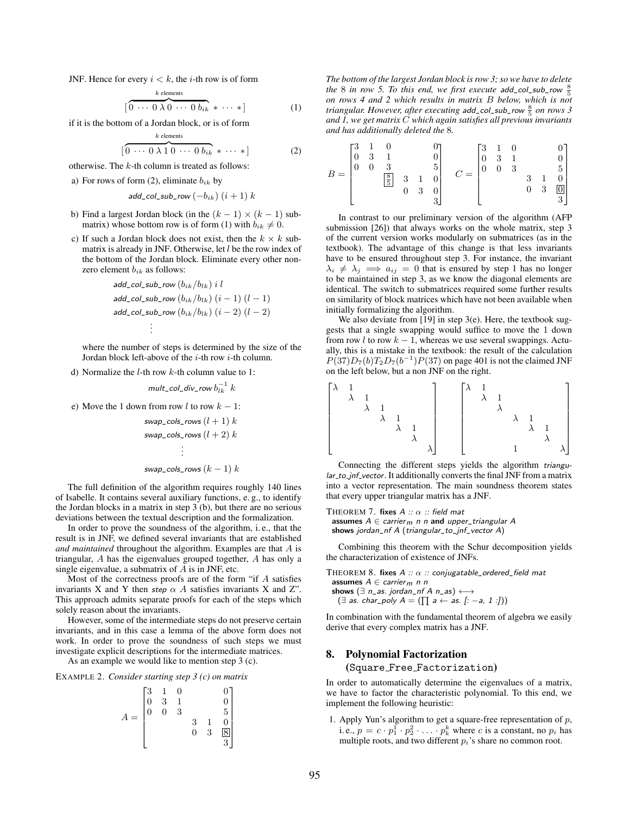JNF. Hence for every  $i < k$ , the *i*-th row is of form

$$
[\overbrace{0 \cdots 0 \lambda 0 \cdots 0 b_{ik}}^{k \text{ elements}} * \cdots *]
$$
 (1)

if it is the bottom of a Jordan block, or is of form

$$
\left[\overbrace{0\ \cdots\ 0\ \lambda\ 1\ 0\ \cdots\ 0\ b_{ik}}^{k \text{ elements}}\ \ast\ \cdots\ \ast\right] \qquad (2)
$$

otherwise. The  $k$ -th column is treated as follows:

a) For rows of form (2), eliminate  $b_{ik}$  by

$$
add\_col\_sub\_row(-b_{ik}) (i+1) k
$$

- b) Find a largest Jordan block (in the  $(k 1) \times (k 1)$  submatrix) whose bottom row is of form (1) with  $b_{ik} \neq 0$ .
- c) If such a Jordan block does not exist, then the  $k \times k$  submatrix is already in JNF. Otherwise, let  $l$  be the row index of the bottom of the Jordan block. Eliminate every other nonzero element  $b_{ik}$  as follows:

$$
\begin{aligned} \mathsf{add\_col\_sub\_row}\left(b_{ik}/b_{lk}\right) \, i \, l \\ \mathsf{add\_col\_sub\_row}\left(b_{ik}/b_{lk}\right) \, \left(i-1\right) \, \left(l-1\right) \\ \mathsf{add\_col\_sub\_row}\left(b_{ik}/b_{lk}\right) \, \left(i-2\right) \, \left(l-2\right) \\ & \vdots \end{aligned}
$$

where the number of steps is determined by the size of the Jordan block left-above of the i-th row i-th column.

d) Normalize the  $l$ -th row  $k$ -th column value to 1:

mult\_col\_div\_row  $b_{lk}^{-1}\ k$ 

e) Move the 1 down from row  $l$  to row  $k - 1$ :

$$
swap\_cols\_rows(l + 1) k
$$
  
\n
$$
swap\_cols\_rows(l + 2) k
$$
  
\n
$$
\vdots
$$
  
\n
$$
swap\_cols\_rows(k - 1) k
$$

The full definition of the algorithm requires roughly 140 lines of Isabelle. It contains several auxiliary functions, e. g., to identify the Jordan blocks in a matrix in step 3 (b), but there are no serious deviations between the textual description and the formalization.

In order to prove the soundness of the algorithm, i. e., that the result is in JNF, we defined several invariants that are established *and maintained* throughout the algorithm. Examples are that A is triangular, A has the eigenvalues grouped together, A has only a single eigenvalue, a submatrix of  $A$  is in JNF, etc.

Most of the correctness proofs are of the form "if  $A$  satisfies invariants X and Y then step  $\alpha$  A satisfies invariants X and Z". This approach admits separate proofs for each of the steps which solely reason about the invariants.

However, some of the intermediate steps do not preserve certain invariants, and in this case a lemma of the above form does not work. In order to prove the soundness of such steps we must investigate explicit descriptions for the intermediate matrices.

As an example we would like to mention step 3 (c).

EXAMPLE 2. *Consider starting step 3 (c) on matrix*

$$
A = \begin{bmatrix} 3 & 1 & 0 & & 0 \\ 0 & 3 & 1 & & 0 \\ 0 & 0 & 3 & & 5 \\ & & & 3 & 1 & 0 \\ & & & 0 & 3 & 8 \\ & & & & 3 \end{bmatrix}
$$

*The bottom of the largest Jordan block is row 3; so we have to delete the* 8 *in row* 5. To this end, we first execute add\_col\_sub\_row  $\frac{8}{5}$ *on rows 4 and 2 which results in matrix* B *below, which is not triangular. However, after executing* add\_col\_sub\_row 8 5 *on rows 3 and 1, we get matrix* C *which again satisfies all previous invariants and has additionally deleted the* 8*.*

$$
B = \begin{bmatrix} 3 & 1 & 0 & & 0 \\ 0 & 3 & 1 & & 0 \\ 0 & 0 & 3 & & 5 \\ & & \boxed{\frac{8}{5}} & 3 & 1 & 0 \\ & & 0 & 3 & 0 \\ & & & & & 3 \end{bmatrix} \quad C = \begin{bmatrix} 3 & 1 & 0 & & 0 \\ 0 & 3 & 1 & & 0 \\ 0 & 0 & 3 & & 5 \\ & & & & & 3 \\ & & & & & 3 \end{bmatrix}
$$

In contrast to our preliminary version of the algorithm (AFP submission [26]) that always works on the whole matrix, step 3 of the current version works modularly on submatrices (as in the textbook). The advantage of this change is that less invariants have to be ensured throughout step 3. For instance, the invariant  $\lambda_i \neq \lambda_j \implies a_{ij} = 0$  that is ensured by step 1 has no longer to be maintained in step 3, as we know the diagonal elements are identical. The switch to submatrices required some further results on similarity of block matrices which have not been available when initially formalizing the algorithm.

We also deviate from [19] in step 3(e). Here, the textbook suggests that a single swapping would suffice to move the 1 down from row l to row  $k - 1$ , whereas we use several swappings. Actually, this is a mistake in the textbook: the result of the calculation  $P(37)D_7(b)T_2D_7(b^{-1})P(37)$  on page 401 is not the claimed JNF on the left below, but a non JNF on the right.



Connecting the different steps yields the algorithm triangular\_to\_jnf\_vector. It additionally converts the final JNF from a matrix into a vector representation. The main soundness theorem states that every upper triangular matrix has a JNF.

THEOREM 7. fixes  $A :: \alpha ::$  field mat assumes  $A \in carrier_m$  n n and upper\_triangular A

shows jordan\_nf A (triangular\_to\_jnf\_vector A)

Combining this theorem with the Schur decomposition yields the characterization of existence of JNFs.

THEOREM 8. fixes  $A :: \alpha ::$  conjugatable\_ordered\_field mat assumes  $A \in carrier_m$  n n shows ( $\exists$  n\_as. jordan\_nf A n\_as)  $\longleftrightarrow$ 

 $(\exists \text{ as. char\_poly } A = (\prod a \leftarrow \text{ as. }[: -a, 1 :]))$ 

In combination with the fundamental theorem of algebra we easily derive that every complex matrix has a JNF.

#### 8. Polynomial Factorization

(Square Free Factorization)

In order to automatically determine the eigenvalues of a matrix, we have to factor the characteristic polynomial. To this end, we implement the following heuristic:

1. Apply Yun's algorithm to get a square-free representation of p, i. e.,  $p = c \cdot p_1^1 \cdot p_2^2 \cdot \ldots \cdot p_k^k$  where c is a constant, no  $p_i$  has multiple roots, and two different  $p_i$ 's share no common root.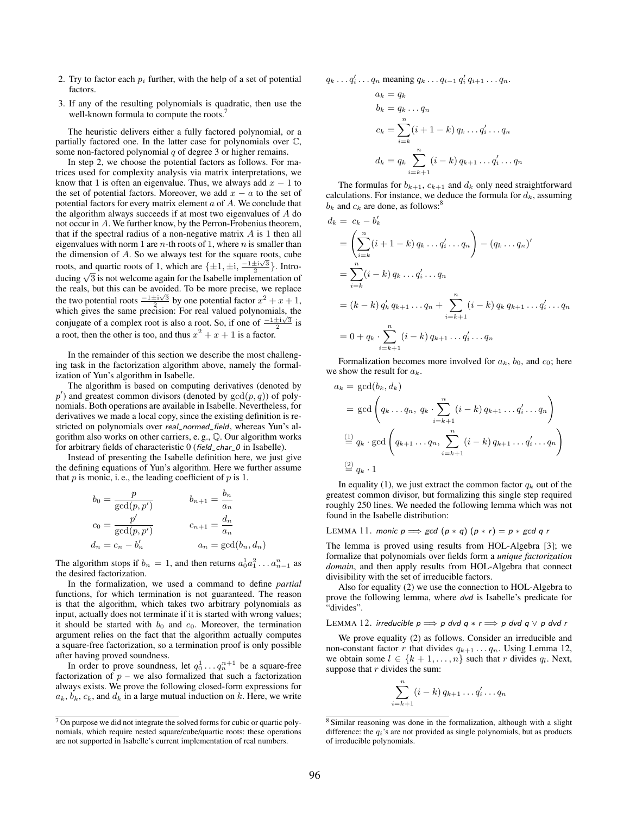- 2. Try to factor each  $p_i$  further, with the help of a set of potential factors.
- 3. If any of the resulting polynomials is quadratic, then use the well-known formula to compute the roots.<sup>7</sup>

The heuristic delivers either a fully factored polynomial, or a partially factored one. In the latter case for polynomials over C, some non-factored polynomial  $q$  of degree 3 or higher remains.

In step 2, we choose the potential factors as follows. For matrices used for complexity analysis via matrix interpretations, we know that 1 is often an eigenvalue. Thus, we always add  $x - 1$  to the set of potential factors. Moreover, we add  $x - a$  to the set of potential factors for every matrix element a of A. We conclude that the algorithm always succeeds if at most two eigenvalues of A do not occur in A. We further know, by the Perron-Frobenius theorem, that if the spectral radius of a non-negative matrix  $A$  is 1 then all eigenvalues with norm 1 are  $n$ -th roots of 1, where  $n$  is smaller than the dimension of A. So we always test for the square roots, cube roots, and quartic roots of 1, which are  $\{\pm 1, \pm i, \frac{-1 \pm i\sqrt{3}}{2}\}$ . Introducing  $\sqrt{3}$  is not welcome again for the Isabelle implementation of the reals, but this can be avoided. To be more precise, we replace the two potential roots  $\frac{-1\pm i\sqrt{3}}{2}$  by one potential factor  $x^2 + x + 1$ , which gives the same precision: For real valued polynomials, the which gives the same precision. For rear valued polynomials, the conjugate of a complex root is also a root. So, if one of  $\frac{-1 \pm i\sqrt{3}}{2}$  is a root, then the other is too, and thus  $x^2 + x + 1$  is a factor.

In the remainder of this section we describe the most challenging task in the factorization algorithm above, namely the formalization of Yun's algorithm in Isabelle.

The algorithm is based on computing derivatives (denoted by  $p'$ ) and greatest common divisors (denoted by  $gcd(p, q)$ ) of polynomials. Both operations are available in Isabelle. Nevertheless, for derivatives we made a local copy, since the existing definition is restricted on polynomials over real\_normed\_field, whereas Yun's algorithm also works on other carriers, e. g., Q. Our algorithm works for arbitrary fields of characteristic 0 (field\_char\_0 in Isabelle).

Instead of presenting the Isabelle definition here, we just give the defining equations of Yun's algorithm. Here we further assume that  $p$  is monic, i.e., the leading coefficient of  $p$  is 1.

$$
b_0 = \frac{p}{\gcd(p, p')}
$$

$$
b_{n+1} = \frac{b_n}{a_n}
$$

$$
c_0 = \frac{p'}{\gcd(p, p')}
$$

$$
c_{n+1} = \frac{d_n}{a_n}
$$

$$
d_n = c_n - b'_n
$$

$$
a_n = \gcd(b_n, d_n)
$$

The algorithm stops if  $b_n = 1$ , and then returns  $a_0^1 a_1^2 \dots a_{n-1}^n$  as the desired factorization.

In the formalization, we used a command to define *partial* functions, for which termination is not guaranteed. The reason is that the algorithm, which takes two arbitrary polynomials as input, actually does not terminate if it is started with wrong values; it should be started with  $b_0$  and  $c_0$ . Moreover, the termination argument relies on the fact that the algorithm actually computes a square-free factorization, so a termination proof is only possible after having proved soundness.

In order to prove soundness, let  $q_0^1 \dots q_n^{n+1}$  be a square-free factorization of  $p$  – we also formalized that such a factorization always exists. We prove the following closed-form expressions for  $a_k, b_k, c_k$ , and  $d_k$  in a large mutual induction on k. Here, we write

$$
q_k \ldots q'_i \ldots q_n
$$
 meaning  $q_k \ldots q_{i-1} q'_i q_{i+1} \ldots q_n$ .

$$
a_k = q_k
$$
  
\n
$$
b_k = q_k \dots q_n
$$
  
\n
$$
c_k = \sum_{i=k}^n (i+1-k) q_k \dots q'_i \dots q_n
$$
  
\n
$$
d_k = q_k \sum_{i=k+1}^n (i-k) q_{k+1} \dots q'_i \dots q_n
$$

The formulas for  $b_{k+1}$ ,  $c_{k+1}$  and  $d_k$  only need straightforward calculations. For instance, we deduce the formula for  $d_k$ , assuming  $b_k$  and  $c_k$  are done, as follows:<sup>8</sup>

$$
d_k = c_k - b'_k
$$
  
=  $\left(\sum_{i=k}^n (i + 1 - k) q_k \dots q'_i \dots q_n\right) - (q_k \dots q_n)'$   
=  $\sum_{i=k}^n (i - k) q_k \dots q'_i \dots q_n$   
=  $(k - k) q'_k q_{k+1} \dots q_n + \sum_{i=k+1}^n (i - k) q_k q_{k+1} \dots q'_i \dots q_n$   
=  $0 + q_k \cdot \sum_{i=k+1}^n (i - k) q_{k+1} \dots q'_i \dots q_n$ 

Formalization becomes more involved for  $a_k$ ,  $b_0$ , and  $c_0$ ; here we show the result for  $a_k$ .

$$
a_k = \gcd(b_k, d_k)
$$
  
=  $\gcd\left(q_k \dots q_n, q_k \cdot \sum_{i=k+1}^n (i-k) q_{k+1} \dots q'_i \dots q_n\right)$   

$$
\stackrel{(1)}{=} q_k \cdot \gcd\left(q_{k+1} \dots q_n, \sum_{i=k+1}^n (i-k) q_{k+1} \dots q'_i \dots q_n\right)
$$
  

$$
\stackrel{(2)}{=} q_k \cdot 1
$$

In equality (1), we just extract the common factor  $q_k$  out of the greatest common divisor, but formalizing this single step required roughly 250 lines. We needed the following lemma which was not found in the Isabelle distribution:

LEMMA 11. monic 
$$
p \implies \text{gcd}(p * q)(p * r) = p * \text{gcd}(q)
$$

The lemma is proved using results from HOL-Algebra [3]; we formalize that polynomials over fields form a *unique factorization domain*, and then apply results from HOL-Algebra that connect divisibility with the set of irreducible factors.

Also for equality (2) we use the connection to HOL-Algebra to prove the following lemma, where dvd is Isabelle's predicate for "divides".

LEMMA 12. irreducible  $p \Longrightarrow p$  dvd  $q \ast r \Longrightarrow p$  dvd  $q \lor p$  dvd r

We prove equality (2) as follows. Consider an irreducible and non-constant factor r that divides  $q_{k+1} \ldots q_n$ . Using Lemma 12, we obtain some  $l \in \{k+1,\ldots,n\}$  such that r divides  $q_l$ . Next, suppose that  $r$  divides the sum:

$$
\sum_{i=k+1}^{n} (i-k) q_{k+1} \dots q'_{i} \dots q_{n}
$$

 $7$  On purpose we did not integrate the solved forms for cubic or quartic polynomials, which require nested square/cube/quartic roots: these operations are not supported in Isabelle's current implementation of real numbers.

<sup>8</sup> Similar reasoning was done in the formalization, although with a slight difference: the  $q_i$ 's are not provided as single polynomials, but as products of irreducible polynomials.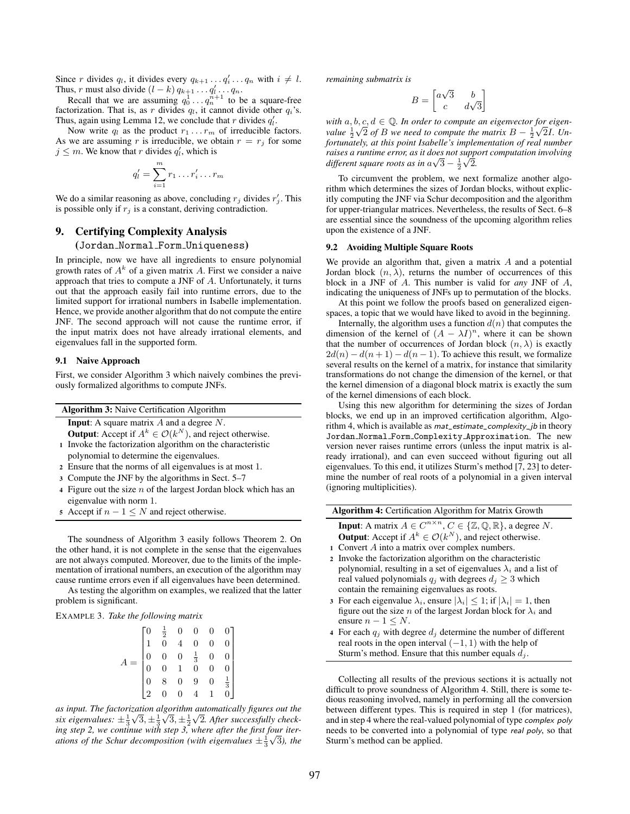Since r divides  $q_l$ , it divides every  $q_{k+1} \dots q'_i \dots q_n$  with  $i \neq l$ . Thus, r must also divide  $(l - k) q_{k+1} \dots q'_l \dots q_n$ .

Recall that we are assuming  $q_0^1 \dots q_n^{n+1}$  to be a square-free factorization. That is, as r divides  $q_l$ , it cannot divide other  $q_i$ 's. Thus, again using Lemma 12, we conclude that r divides  $q'_l$ .

Now write  $q_l$  as the product  $r_1 \ldots r_m$  of irreducible factors. As we are assuming r is irreducible, we obtain  $r = r_j$  for some  $j \leq m$ . We know that r divides  $q'_i$ , which is

$$
q'_l = \sum_{i=1}^m r_1 \dots r'_i \dots r_m
$$

We do a similar reasoning as above, concluding  $r_j$  divides  $r'_j$ . This is possible only if  $r_j$  is a constant, deriving contradiction.

## 9. Certifying Complexity Analysis

#### (Jordan Normal Form Uniqueness)

In principle, now we have all ingredients to ensure polynomial growth rates of  $A^k$  of a given matrix A. First we consider a naive approach that tries to compute a JNF of A. Unfortunately, it turns out that the approach easily fail into runtime errors, due to the limited support for irrational numbers in Isabelle implementation. Hence, we provide another algorithm that do not compute the entire JNF. The second approach will not cause the runtime error, if the input matrix does not have already irrational elements, and eigenvalues fall in the supported form.

#### 9.1 Naive Approach

First, we consider Algorithm 3 which naively combines the previously formalized algorithms to compute JNFs.

| <b>Algorithm 3:</b> Naive Certification Algorithm                            |
|------------------------------------------------------------------------------|
| <b>Input:</b> A square matrix $A$ and a degree $N$ .                         |
| <b>Output</b> : Accept if $A^k \in \mathcal{O}(k^N)$ , and reject otherwise. |
| 1 Invoke the factorization algorithm on the characteristic                   |
| polynomial to determine the eigenvalues.                                     |

- <sup>2</sup> Ensure that the norms of all eigenvalues is at most 1.
- <sup>3</sup> Compute the JNF by the algorithms in Sect. 5–7
- 4 Figure out the size  $n$  of the largest Jordan block which has an eigenvalue with norm 1.
- 5 Accept if  $n 1 \leq N$  and reject otherwise.

The soundness of Algorithm 3 easily follows Theorem 2. On the other hand, it is not complete in the sense that the eigenvalues are not always computed. Moreover, due to the limits of the implementation of irrational numbers, an execution of the algorithm may cause runtime errors even if all eigenvalues have been determined.

As testing the algorithm on examples, we realized that the latter problem is significant.

#### EXAMPLE 3. *Take the following matrix*

| $\begin{matrix} 0 \\ 1 \end{matrix}$       |                                                                                                                                 | $\begin{matrix} 0 \\ 0 \end{matrix}$ |                                                       |
|--------------------------------------------|---------------------------------------------------------------------------------------------------------------------------------|--------------------------------------|-------------------------------------------------------|
|                                            |                                                                                                                                 |                                      |                                                       |
| $\begin{array}{c} 0 \\ 0 \\ 0 \end{array}$ |                                                                                                                                 | $\begin{matrix} 0 \\ 0 \end{matrix}$ |                                                       |
|                                            |                                                                                                                                 |                                      |                                                       |
|                                            |                                                                                                                                 | $\overline{0}$                       | $\begin{bmatrix} 1 \\ \frac{1}{3} \\ 0 \end{bmatrix}$ |
| $\frac{1}{2}$                              | $\begin{array}{ccc} \frac{1}{2} & 0 & 0 \\ 0 & 4 & 0 \\ 0 & 0 & \frac{1}{3} \\ 0 & 1 & 0 \\ 8 & 0 & 9 \\ 0 & 0 & 4 \end{array}$ |                                      |                                                       |

as input. The factorization algorithm automatically figures out the six eigenvalues:  $\pm \frac{1}{3}\sqrt{3}, \pm \frac{1}{3}\sqrt{3}, \pm \frac{1}{2}\sqrt{2}$ . After successfully check*ing step 2, we continue with step 3, where after the first four iterations of the Schur decomposition (with eigenvalues*  $\pm \frac{1}{3}\sqrt{3}$ ), the *remaining submatrix is*

$$
B = \begin{bmatrix} a\sqrt{3} & b \\ c & d\sqrt{3} \end{bmatrix}
$$

 $\mathbf{w}$  *with*  $a, b, c, d \in \mathbb{Q}$ . In order to compute an eigenvector for eigen*value*  $\frac{1}{2}\sqrt{2}$  *of B we need to compute the matrix*  $B - \frac{1}{2}\sqrt{2}I$ *. Unfortunately, at this point Isabelle's implementation of real number raises a runtime error, as it does not support computation involving* √ √ *different square roots as in*  $a\sqrt{3} - \frac{1}{2}\sqrt{2}$ .

To circumvent the problem, we next formalize another algorithm which determines the sizes of Jordan blocks, without explicitly computing the JNF via Schur decomposition and the algorithm for upper-triangular matrices. Nevertheless, the results of Sect. 6–8 are essential since the soundness of the upcoming algorithm relies upon the existence of a JNF.

#### 9.2 Avoiding Multiple Square Roots

We provide an algorithm that, given a matrix  $A$  and a potential Jordan block  $(n, \lambda)$ , returns the number of occurrences of this block in a JNF of A. This number is valid for *any* JNF of A, indicating the uniqueness of JNFs up to permutation of the blocks.

At this point we follow the proofs based on generalized eigenspaces, a topic that we would have liked to avoid in the beginning.

Internally, the algorithm uses a function  $d(n)$  that computes the dimension of the kernel of  $(A - \lambda I)^n$ , where it can be shown that the number of occurrences of Jordan block  $(n, \lambda)$  is exactly  $2d(n) - d(n+1) - d(n-1)$ . To achieve this result, we formalize several results on the kernel of a matrix, for instance that similarity transformations do not change the dimension of the kernel, or that the kernel dimension of a diagonal block matrix is exactly the sum of the kernel dimensions of each block.

Using this new algorithm for determining the sizes of Jordan blocks, we end up in an improved certification algorithm, Algorithm 4, which is available as  $mat\_estimate\_complexity\_ib$  in theory Jordan Normal Form Complexity Approximation. The new version never raises runtime errors (unless the input matrix is already irrational), and can even succeed without figuring out all eigenvalues. To this end, it utilizes Sturm's method [7, 23] to determine the number of real roots of a polynomial in a given interval (ignoring multiplicities).

| <b>Algorithm 4:</b> Certification Algorithm for Matrix Growth                                        |
|------------------------------------------------------------------------------------------------------|
| <b>Input:</b> A matrix $A \in C^{n \times n}$ , $C \in \{Z, \mathbb{Q}, \mathbb{R}\}\$ , a degree N. |
| <b>Output:</b> Accept if $A^k \in \mathcal{O}(k^N)$ , and reject otherwise.                          |
| 1 Convert A into a matrix over complex numbers.                                                      |
| 2 Invoke the factorization algorithm on the characteristic                                           |
| polynomial, resulting in a set of eigenvalues $\lambda_i$ and a list of                              |
| real valued polynomials $q_i$ with degrees $d_i \geq 3$ which                                        |
| contain the remaining eigenvalues as roots.                                                          |
| 3 For each eigenvalue $\lambda_i$ , ensure $ \lambda_i $ < 1; if $ \lambda_i $ = 1, then             |
| figure out the size <i>n</i> of the largest Jordan block for $\lambda_i$ and                         |
| ensure $n - 1 \leq N$ .                                                                              |
| 4 For each $q_i$ with degree $d_i$ determine the number of different                                 |
| real roots in the open interval $(-1, 1)$ with the help of                                           |

Sturm's method. Ensure that this number equals  $d_j$ .

Collecting all results of the previous sections it is actually not difficult to prove soundness of Algorithm 4. Still, there is some tedious reasoning involved, namely in performing all the conversion between different types. This is required in step 1 (for matrices), and in step 4 where the real-valued polynomial of type complex poly needs to be converted into a polynomial of type real poly, so that Sturm's method can be applied.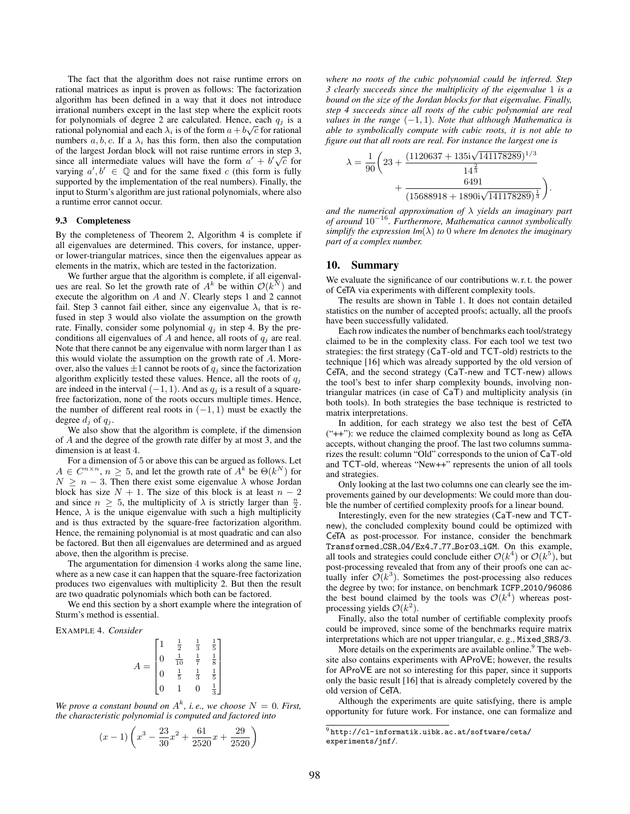The fact that the algorithm does not raise runtime errors on rational matrices as input is proven as follows: The factorization algorithm has been defined in a way that it does not introduce irrational numbers except in the last step where the explicit roots for polynomials of degree 2 are calculated. Hence, each  $q_j$  is a rational polynomial and each  $\lambda_i$  is of the form  $a+b\sqrt{c}$  for rational numbers  $a, b, c$ . If a  $\lambda_i$  has this form, then also the computation of the largest Jordan block will not raise runtime errors in step 3,<br>since all intermediate values will have the form  $a' + b'$ . since all intermediate values will have the form  $a' + b' \sqrt{c}$  for varying  $a', b' \in \mathbb{Q}$  and for the same fixed c (this form is fully supported by the implementation of the real numbers). Finally, the input to Sturm's algorithm are just rational polynomials, where also a runtime error cannot occur.

#### 9.3 Completeness

By the completeness of Theorem 2, Algorithm 4 is complete if all eigenvalues are determined. This covers, for instance, upperor lower-triangular matrices, since then the eigenvalues appear as elements in the matrix, which are tested in the factorization.

We further argue that the algorithm is complete, if all eigenvalues are real. So let the growth rate of  $A^k$  be within  $\mathcal{O}(k^N)$  and execute the algorithm on  $A$  and  $N$ . Clearly steps 1 and 2 cannot fail. Step 3 cannot fail either, since any eigenvalue  $\lambda_i$  that is refused in step 3 would also violate the assumption on the growth rate. Finally, consider some polynomial  $q_i$  in step 4. By the preconditions all eigenvalues of A and hence, all roots of  $q_i$  are real. Note that there cannot be any eigenvalue with norm larger than 1 as this would violate the assumption on the growth rate of A. Moreover, also the values  $\pm 1$  cannot be roots of  $q_j$  since the factorization algorithm explicitly tested these values. Hence, all the roots of  $q_i$ are indeed in the interval  $(-1, 1)$ . And as  $q<sub>j</sub>$  is a result of a squarefree factorization, none of the roots occurs multiple times. Hence, the number of different real roots in  $(-1, 1)$  must be exactly the degree  $d_i$  of  $q_i$ .

We also show that the algorithm is complete, if the dimension of A and the degree of the growth rate differ by at most 3, and the dimension is at least 4.

For a dimension of 5 or above this can be argued as follows. Let  $A \in \mathbb{C}^{n \times n}$ ,  $n \geq 5$ , and let the growth rate of  $A^k$  be  $\Theta(k^N)$  for  $N \geq n - 3$ . Then there exist some eigenvalue  $\lambda$  whose Jordan block has size  $N + 1$ . The size of this block is at least  $n - 2$ and since  $n \geq 5$ , the multiplicity of  $\lambda$  is strictly larger than  $\frac{n}{2}$ . Hence,  $\lambda$  is the unique eigenvalue with such a high multiplicity and is thus extracted by the square-free factorization algorithm. Hence, the remaining polynomial is at most quadratic and can also be factored. But then all eigenvalues are determined and as argued above, then the algorithm is precise.

The argumentation for dimension 4 works along the same line, where as a new case it can happen that the square-free factorization produces two eigenvalues with multiplicity 2. But then the result are two quadratic polynomials which both can be factored.

We end this section by a short example where the integration of Sturm's method is essential.

#### EXAMPLE 4. *Consider*

$$
A = \begin{bmatrix} 1 & \frac{1}{2} & \frac{1}{3} & \frac{1}{5} \\ 0 & \frac{1}{10} & \frac{1}{7} & \frac{1}{8} \\ 0 & \frac{1}{5} & \frac{1}{3} & \frac{1}{5} \\ 0 & 1 & 0 & \frac{1}{3} \end{bmatrix}
$$

We prove a constant bound on  $A^k$ , *i.e.*, we choose  $N = 0$ . First, *the characteristic polynomial is computed and factored into*

$$
(x-1)\left(x^3 - \frac{23}{30}x^2 + \frac{61}{2520}x + \frac{29}{2520}\right)
$$

*where no roots of the cubic polynomial could be inferred. Step 3 clearly succeeds since the multiplicity of the eigenvalue* 1 *is a bound on the size of the Jordan blocks for that eigenvalue. Finally, step 4 succeeds since all roots of the cubic polynomial are real values in the range*  $(-1, 1)$ *. Note that although Mathematica is able to symbolically compute with cubic roots, it is not able to figure out that all roots are real. For instance the largest one is*

$$
\lambda = \frac{1}{90} \left( 23 + \frac{(1120637 + 135 \mathrm{i} \sqrt{141178289})^{1/3}}{14^{\frac{2}{3}}} + \frac{6491}{(15688918 + 1890 \mathrm{i} \sqrt{141178289})^{\frac{1}{3}}} \right).
$$

*and the numerical approximation of* λ *yields an imaginary part of around* 10<sup>−</sup><sup>16</sup>*. Furthermore, Mathematica cannot symbolically simplify the expression*  $Im(\lambda)$  *to* 0 *where Im denotes the imaginary part of a complex number.*

## 10. Summary

We evaluate the significance of our contributions w. r. t. the power of CeTA via experiments with different complexity tools.

The results are shown in Table 1. It does not contain detailed statistics on the number of accepted proofs; actually, all the proofs have been successfully validated.

Each row indicates the number of benchmarks each tool/strategy claimed to be in the complexity class. For each tool we test two strategies: the first strategy (CaT-old and TCT-old) restricts to the technique [16] which was already supported by the old version of CeTA, and the second strategy (CaT-new and TCT-new) allows the tool's best to infer sharp complexity bounds, involving nontriangular matrices (in case of CaT) and multiplicity analysis (in both tools). In both strategies the base technique is restricted to matrix interpretations.

In addition, for each strategy we also test the best of CeTA ("++"): we reduce the claimed complexity bound as long as CeTA accepts, without changing the proof. The last two columns summarizes the result: column "Old" corresponds to the union of CaT-old and TCT-old, whereas "New++" represents the union of all tools and strategies.

Only looking at the last two columns one can clearly see the improvements gained by our developments: We could more than double the number of certified complexity proofs for a linear bound.

Interestingly, even for the new strategies (CaT-new and TCTnew), the concluded complexity bound could be optimized with CeTA as post-processor. For instance, consider the benchmark Transformed CSR 04/Ex4 7 77 Bor03 iGM. On this example, all tools and strategies could conclude either  $\mathcal{O}(k^4)$  or  $\mathcal{O}(k^5)$ , but post-processing revealed that from any of their proofs one can actually infer  $\mathcal{O}(k^3)$ . Sometimes the post-processing also reduces the degree by two; for instance, on benchmark ICFP 2010/96086 the best bound claimed by the tools was  $\mathcal{O}(k^4)$  whereas postprocessing yields  $\mathcal{O}(k^2)$ .

Finally, also the total number of certifiable complexity proofs could be improved, since some of the benchmarks require matrix interpretations which are not upper triangular, e. g., Mixed SRS/3.

More details on the experiments are available online.<sup>9</sup> The website also contains experiments with AProVE; however, the results for AProVE are not so interesting for this paper, since it supports only the basic result [16] that is already completely covered by the old version of CeTA.

Although the experiments are quite satisfying, there is ample opportunity for future work. For instance, one can formalize and

 $^9$ http://cl-informatik.uibk.ac.at/software/ceta/ experiments/jnf/.